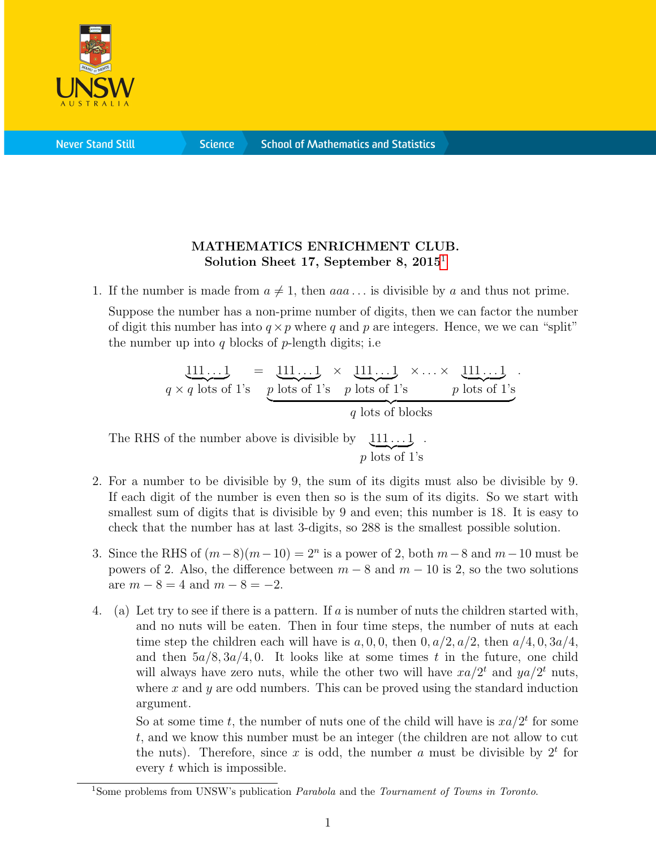

**Science** 

## MATHEMATICS ENRICHMENT CLUB. Solution Sheet [1](#page-0-0)7, September 8,  $2015<sup>1</sup>$

1. If the number is made from  $a \neq 1$ , then  $aaa \dots$  is divisible by a and thus not prime.

Suppose the number has a non-prime number of digits, then we can factor the number of digit this number has into  $q \times p$  where q and p are integers. Hence, we we can "split" the number up into q blocks of  $p$ -length digits; i.e

$$
\underbrace{111\ldots1}_{q \times q \text{ lots of 1's}} = \underbrace{111\ldots1}_{p \text{ lots of 1's}} \times \underbrace{111\ldots1}_{p \text{ lots of 1's}} \times \ldots \times \underbrace{111\ldots1}_{p \text{ lots of 1's}}.
$$

The RHS of the number above is divisible by  $111...1$ .  $p \overline{\mathrm{ lots of}} 1$ 's

- 2. For a number to be divisible by 9, the sum of its digits must also be divisible by 9. If each digit of the number is even then so is the sum of its digits. So we start with smallest sum of digits that is divisible by 9 and even; this number is 18. It is easy to check that the number has at last 3-digits, so 288 is the smallest possible solution.
- 3. Since the RHS of  $(m-8)(m-10) = 2<sup>n</sup>$  is a power of 2, both  $m-8$  and  $m-10$  must be powers of 2. Also, the difference between  $m - 8$  and  $m - 10$  is 2, so the two solutions are  $m - 8 = 4$  and  $m - 8 = -2$ .
- 4. (a) Let try to see if there is a pattern. If a is number of nuts the children started with, and no nuts will be eaten. Then in four time steps, the number of nuts at each time step the children each will have is  $a, 0, 0$ , then  $0, a/2, a/2$ , then  $a/4, 0, 3a/4$ , and then  $5a/8$ ,  $3a/4$ , 0. It looks like at some times t in the future, one child will always have zero nuts, while the other two will have  $xa/2^t$  and  $ya/2^t$  nuts, where  $x$  and  $y$  are odd numbers. This can be proved using the standard induction argument.

So at some time t, the number of nuts one of the child will have is  $xa/2^t$  for some t, and we know this number must be an integer (the children are not allow to cut the nuts). Therefore, since x is odd, the number a must be divisible by  $2<sup>t</sup>$  for every t which is impossible.

<span id="page-0-0"></span><sup>&</sup>lt;sup>1</sup>Some problems from UNSW's publication *Parabola* and the *Tournament of Towns in Toronto*.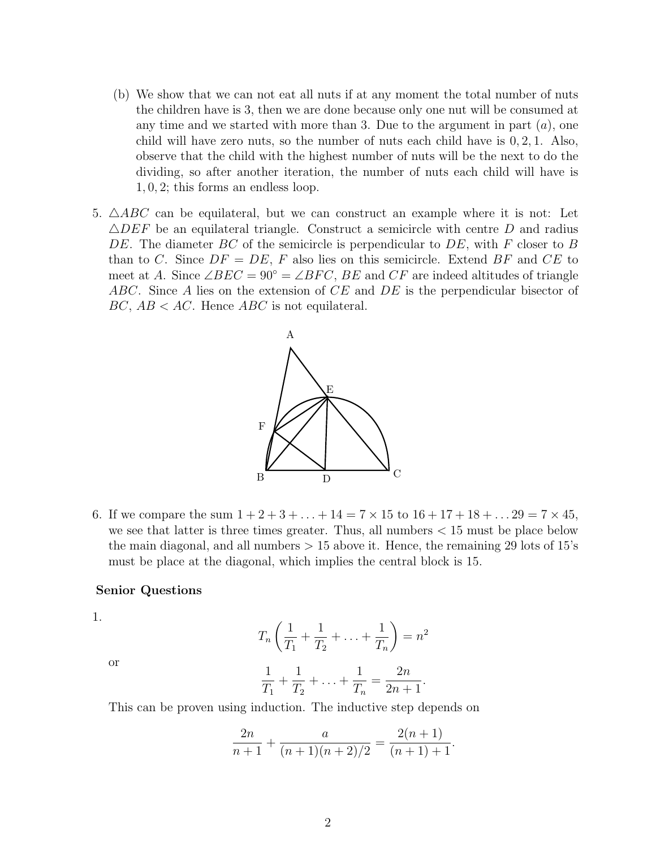- (b) We show that we can not eat all nuts if at any moment the total number of nuts the children have is 3, then we are done because only one nut will be consumed at any time and we started with more than 3. Due to the argument in part  $(a)$ , one child will have zero nuts, so the number of nuts each child have is 0, 2, 1. Also, observe that the child with the highest number of nuts will be the next to do the dividing, so after another iteration, the number of nuts each child will have is 1, 0, 2; this forms an endless loop.
- 5.  $\triangle ABC$  can be equilateral, but we can construct an example where it is not: Let  $\triangle DEF$  be an equilateral triangle. Construct a semicircle with centre D and radius DE. The diameter BC of the semicircle is perpendicular to DE, with F closer to B than to C. Since  $DF = DE$ , F also lies on this semicircle. Extend BF and CE to meet at A. Since  $\angle BEC = 90^{\circ} = \angle BFC$ , BE and CF are indeed altitudes of triangle ABC. Since A lies on the extension of CE and DE is the perpendicular bisector of  $BC, AB < AC$ . Hence  $ABC$  is not equilateral.



6. If we compare the sum  $1 + 2 + 3 + \ldots + 14 = 7 \times 15$  to  $16 + 17 + 18 + \ldots$   $29 = 7 \times 45$ , we see that latter is three times greater. Thus, all numbers  $< 15$  must be place below the main diagonal, and all numbers  $> 15$  above it. Hence, the remaining 29 lots of 15's must be place at the diagonal, which implies the central block is 15.

## Senior Questions

1.

$$
T_n\left(\frac{1}{T_1} + \frac{1}{T_2} + \ldots + \frac{1}{T_n}\right) = n^2
$$

or

$$
\frac{1}{T_1} + \frac{1}{T_2} + \ldots + \frac{1}{T_n} = \frac{2n}{2n+1}.
$$

This can be proven using induction. The inductive step depends on

$$
\frac{2n}{n+1} + \frac{a}{(n+1)(n+2)/2} = \frac{2(n+1)}{(n+1)+1}.
$$